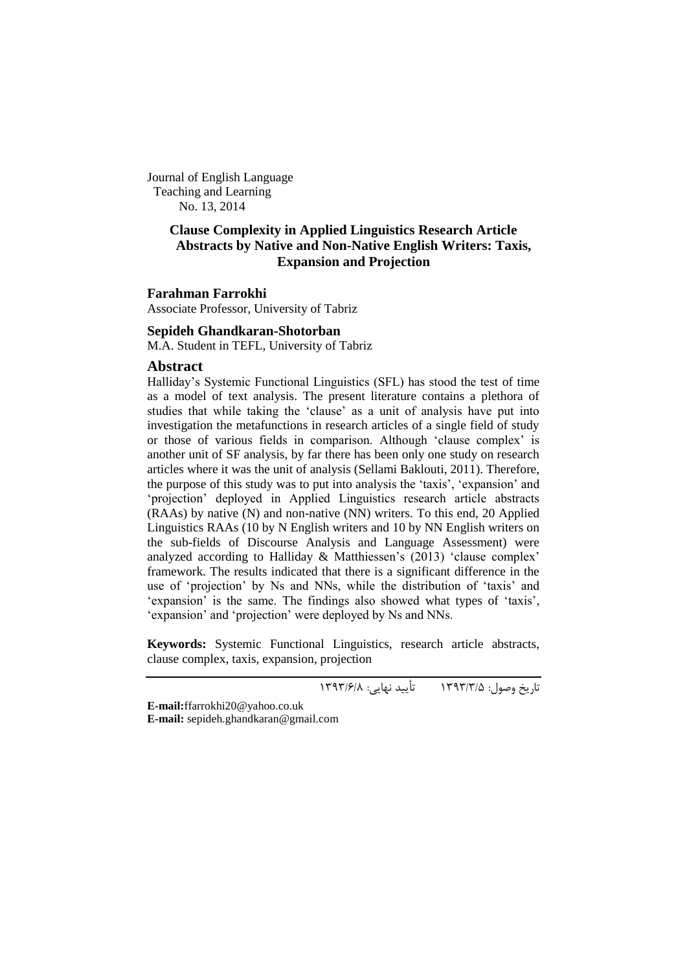Journal of English Language Teaching and Learning No. 13, 2014

## **Clause Complexity in Applied Linguistics Research Article Abstracts by Native and Non-Native English Writers: Taxis, Expansion and Projection**

#### **Farahman Farrokhi**

Associate Professor, University of Tabriz

#### **Sepideh Ghandkaran-Shotorban**

M.A. Student in TEFL, University of Tabriz

## **Abstract**

Halliday"s Systemic Functional Linguistics (SFL) has stood the test of time as a model of text analysis. The present literature contains a plethora of studies that while taking the "clause" as a unit of analysis have put into investigation the metafunctions in research articles of a single field of study or those of various fields in comparison. Although "clause complex" is another unit of SF analysis, by far there has been only one study on research articles where it was the unit of analysis (Sellami Baklouti, 2011). Therefore, the purpose of this study was to put into analysis the "taxis", "expansion" and 'projection' deployed in Applied Linguistics research article abstracts (RAAs) by native (N) and non-native (NN) writers. To this end, 20 Applied Linguistics RAAs (10 by N English writers and 10 by NN English writers on the sub-fields of Discourse Analysis and Language Assessment) were analyzed according to Halliday  $\&$  Matthiessen's (2013) 'clause complex' framework. The results indicated that there is a significant difference in the use of "projection" by Ns and NNs, while the distribution of "taxis" and 'expansion' is the same. The findings also showed what types of 'taxis', 'expansion' and 'projection' were deployed by Ns and NNs.

**Keywords:** Systemic Functional Linguistics, research article abstracts, clause complex, taxis, expansion, projection

تاریخ وصول: 3333/3/5 تأیید نهایی: 3333/6/8

**E-mail:**[ffarrokhi20@yahoo.co.uk](mailto:ffarrokhi20@yahoo.co.uk) **E-mail:** [sepideh.ghandkaran@gmail.com](mailto:sepideh.ghandkaran@gmail.com)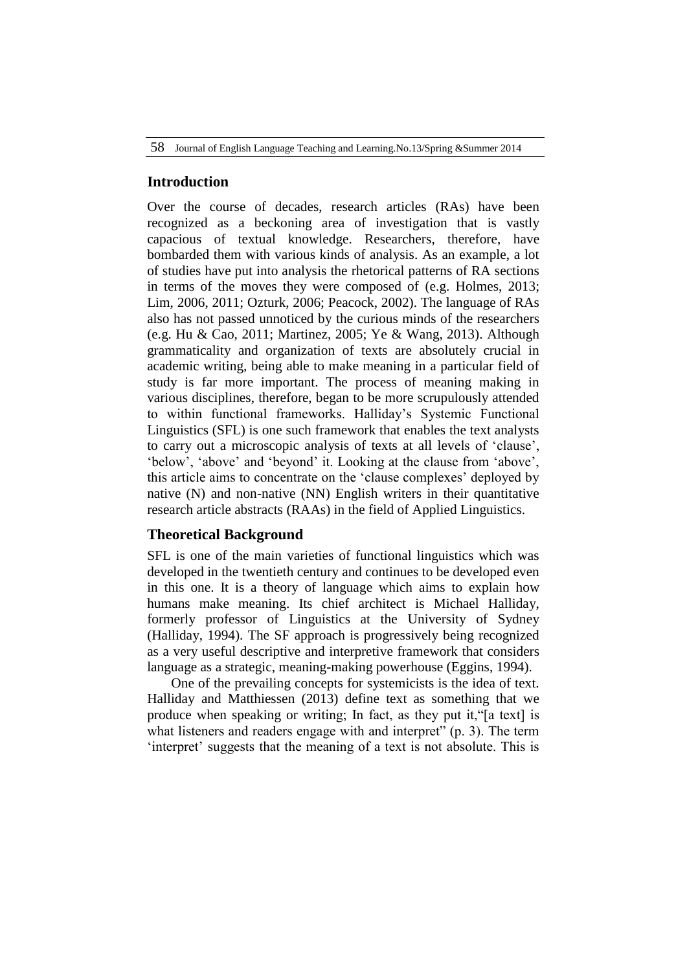## **Introduction**

Over the course of decades, research articles (RAs) have been recognized as a beckoning area of investigation that is vastly capacious of textual knowledge. Researchers, therefore, have bombarded them with various kinds of analysis. As an example, a lot of studies have put into analysis the rhetorical patterns of RA sections in terms of the moves they were composed of (e.g. Holmes, 2013; Lim, 2006, 2011; Ozturk, 2006; Peacock, 2002). The language of RAs also has not passed unnoticed by the curious minds of the researchers (e.g. Hu & Cao, 2011; Martinez, 2005; Ye & Wang, 2013). Although grammaticality and organization of texts are absolutely crucial in academic writing, being able to make meaning in a particular field of study is far more important. The process of meaning making in various disciplines, therefore, began to be more scrupulously attended to within functional frameworks. Halliday"s Systemic Functional Linguistics (SFL) is one such framework that enables the text analysts to carry out a microscopic analysis of texts at all levels of "clause", "below", "above" and "beyond" it. Looking at the clause from "above", this article aims to concentrate on the "clause complexes" deployed by native (N) and non-native (NN) English writers in their quantitative research article abstracts (RAAs) in the field of Applied Linguistics.

# **Theoretical Background**

SFL is one of the main varieties of functional linguistics which was developed in the twentieth century and continues to be developed even in this one. It is a theory of language which aims to explain how humans make meaning. Its chief architect is Michael Halliday, formerly professor of Linguistics at the University of Sydney (Halliday, 1994). The SF approach is progressively being recognized as a very useful descriptive and interpretive framework that considers language as a strategic, meaning-making powerhouse (Eggins, 1994).

One of the prevailing concepts for systemicists is the idea of text. Halliday and Matthiessen (2013) define text as something that we produce when speaking or writing; In fact, as they put it,"[a text] is what listeners and readers engage with and interpret" (p. 3). The term 'interpret' suggests that the meaning of a text is not absolute. This is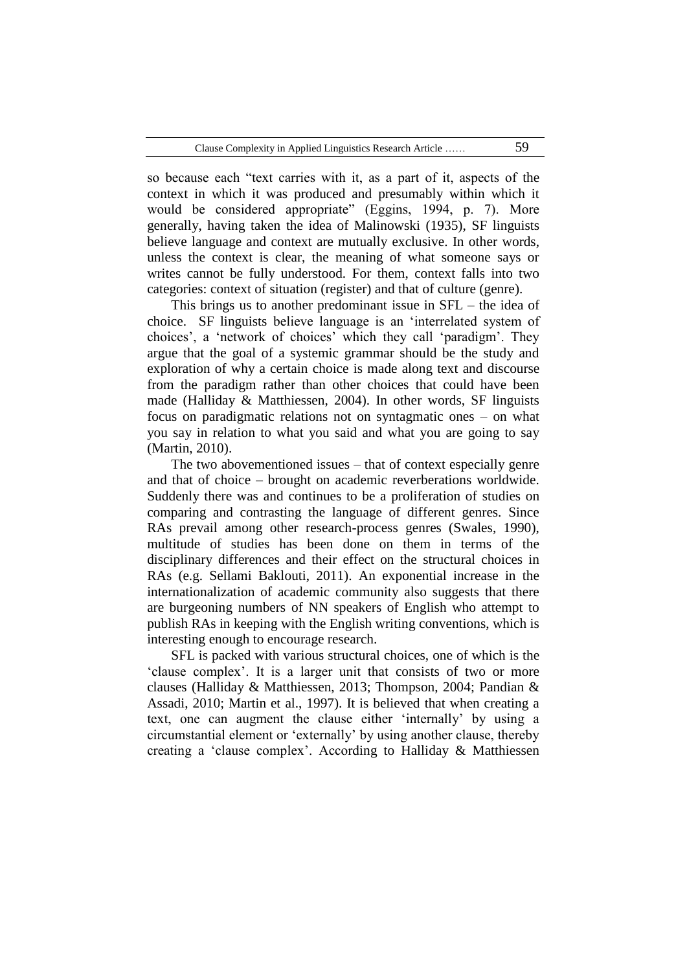so because each "text carries with it, as a part of it, aspects of the context in which it was produced and presumably within which it would be considered appropriate" (Eggins, 1994, p. 7). More generally, having taken the idea of Malinowski (1935), SF linguists believe language and context are mutually exclusive. In other words, unless the context is clear, the meaning of what someone says or writes cannot be fully understood. For them, context falls into two categories: context of situation (register) and that of culture (genre).

This brings us to another predominant issue in SFL – the idea of choice. SF linguists believe language is an "interrelated system of choices", a "network of choices" which they call "paradigm". They argue that the goal of a systemic grammar should be the study and exploration of why a certain choice is made along text and discourse from the paradigm rather than other choices that could have been made (Halliday & Matthiessen, 2004). In other words, SF linguists focus on paradigmatic relations not on syntagmatic ones – on what you say in relation to what you said and what you are going to say (Martin, 2010).

The two abovementioned issues – that of context especially genre and that of choice – brought on academic reverberations worldwide. Suddenly there was and continues to be a proliferation of studies on comparing and contrasting the language of different genres. Since RAs prevail among other research-process genres (Swales, 1990), multitude of studies has been done on them in terms of the disciplinary differences and their effect on the structural choices in RAs (e.g. Sellami Baklouti, 2011). An exponential increase in the internationalization of academic community also suggests that there are burgeoning numbers of NN speakers of English who attempt to publish RAs in keeping with the English writing conventions, which is interesting enough to encourage research.

SFL is packed with various structural choices, one of which is the "clause complex". It is a larger unit that consists of two or more clauses (Halliday & Matthiessen, 2013; Thompson, 2004; Pandian & Assadi, 2010; Martin et al., 1997). It is believed that when creating a text, one can augment the clause either "internally" by using a circumstantial element or "externally" by using another clause, thereby creating a "clause complex". According to Halliday & Matthiessen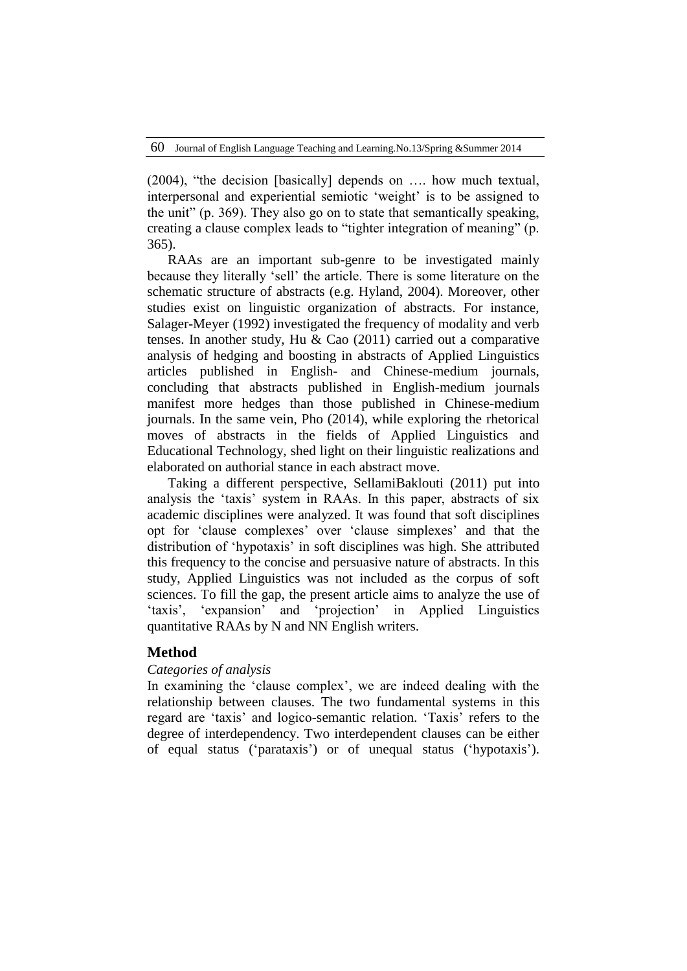(2004), "the decision [basically] depends on …. how much textual, interpersonal and experiential semiotic "weight" is to be assigned to the unit" (p. 369). They also go on to state that semantically speaking, creating a clause complex leads to "tighter integration of meaning" (p. 365).

RAAs are an important sub-genre to be investigated mainly because they literally "sell" the article. There is some literature on the schematic structure of abstracts (e.g. Hyland, 2004). Moreover, other studies exist on linguistic organization of abstracts. For instance, Salager-Meyer (1992) investigated the frequency of modality and verb tenses. In another study, Hu & Cao (2011) carried out a comparative analysis of hedging and boosting in abstracts of Applied Linguistics articles published in English- and Chinese-medium journals, concluding that abstracts published in English-medium journals manifest more hedges than those published in Chinese-medium journals. In the same vein, Pho (2014), while exploring the rhetorical moves of abstracts in the fields of Applied Linguistics and Educational Technology, shed light on their linguistic realizations and elaborated on authorial stance in each abstract move.

Taking a different perspective, SellamiBaklouti (2011) put into analysis the "taxis" system in RAAs. In this paper, abstracts of six academic disciplines were analyzed. It was found that soft disciplines opt for "clause complexes" over "clause simplexes" and that the distribution of "hypotaxis" in soft disciplines was high. She attributed this frequency to the concise and persuasive nature of abstracts. In this study, Applied Linguistics was not included as the corpus of soft sciences. To fill the gap, the present article aims to analyze the use of "taxis", "expansion" and "projection" in Applied Linguistics quantitative RAAs by N and NN English writers.

## **Method**

## *Categories of analysis*

In examining the 'clause complex', we are indeed dealing with the relationship between clauses. The two fundamental systems in this regard are "taxis" and logico-semantic relation. "Taxis" refers to the degree of interdependency. Two interdependent clauses can be either of equal status ("parataxis") or of unequal status ("hypotaxis").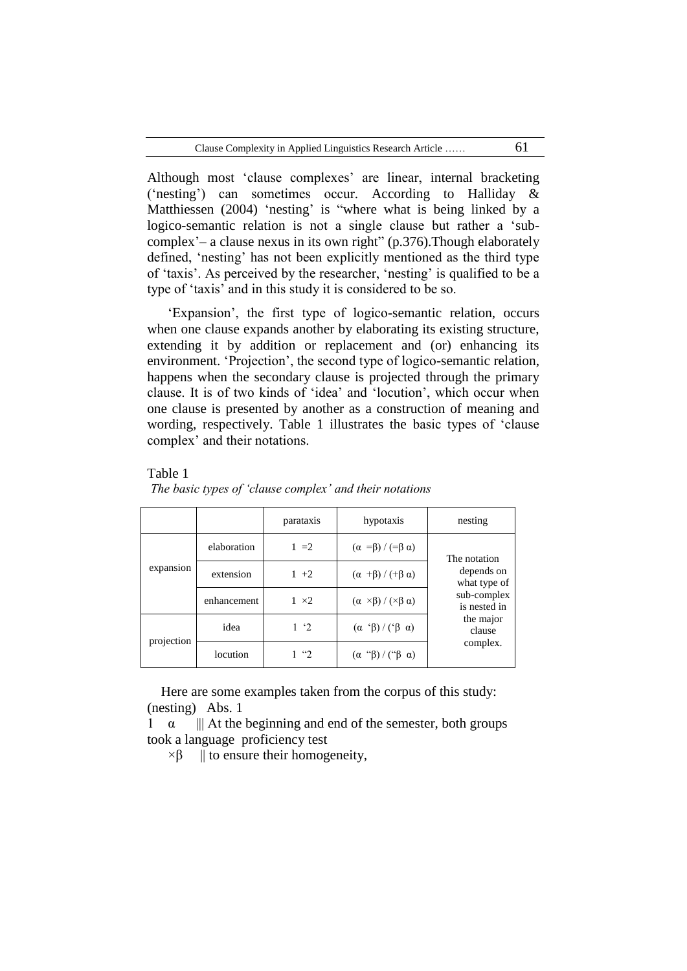| Clause Complexity in Applied Linguistics Research Article |  |
|-----------------------------------------------------------|--|
|-----------------------------------------------------------|--|

Although most 'clause complexes' are linear, internal bracketing ("nesting") can sometimes occur. According to Halliday & Matthiessen (2004) 'nesting' is "where what is being linked by a logico-semantic relation is not a single clause but rather a 'subcomplex'– a clause nexus in its own right"  $(p.376)$ . Though elaborately defined, "nesting" has not been explicitly mentioned as the third type of "taxis". As perceived by the researcher, "nesting" is qualified to be a type of "taxis" and in this study it is considered to be so.

"Expansion", the first type of logico-semantic relation, occurs when one clause expands another by elaborating its existing structure, extending it by addition or replacement and (or) enhancing its environment. "Projection", the second type of logico-semantic relation, happens when the secondary clause is projected through the primary clause. It is of two kinds of "idea" and "locution", which occur when one clause is presented by another as a construction of meaning and wording, respectively. Table 1 illustrates the basic types of "clause complex' and their notations.

Table 1

|                         |             | parataxis    | hypotaxis                                       | nesting                         |
|-------------------------|-------------|--------------|-------------------------------------------------|---------------------------------|
| expansion<br>projection | elaboration | $1 = 2$      | $(\alpha = \beta) / (\exists \beta \alpha)$     | The notation                    |
|                         | extension   | $1 + 2$      | $(\alpha + \beta) / (+\beta \alpha)$            | depends on<br>what type of      |
|                         | enhancement | $1 \times 2$ | $(\alpha \times \beta) / (\times \beta \alpha)$ | sub-complex<br>is nested in     |
|                         | idea        | $1 \tcdot 2$ | $(\alpha \ \beta) / (\beta \ \alpha)$           | the major<br>clause<br>complex. |
|                         | locution    |              | $(\alpha$ " $\beta$ )/(" $\beta$ $\alpha$ )     |                                 |

*The basic types of 'clause complex' and their notations*

 Here are some examples taken from the corpus of this study: (nesting) Abs. 1

 $\alpha$  ||| At the beginning and end of the semester, both groups took a language proficiency test

 $\times \beta$  || to ensure their homogeneity,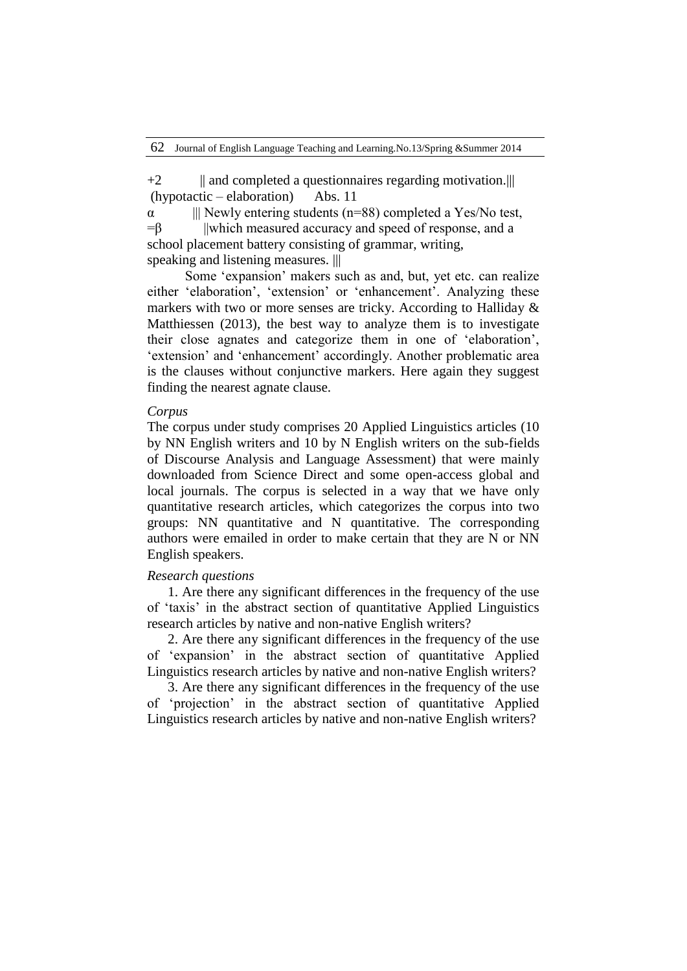$+2$  || and completed a questionnaires regarding motivation.||| (hypotactic – elaboration) Abs. 11

 $\alpha$  ||| Newly entering students (n=88) completed a Yes/No test,  $=$ β ||which measured accuracy and speed of response, and a school placement battery consisting of grammar, writing, speaking and listening measures. |||

 Some "expansion" makers such as and, but, yet etc. can realize either 'elaboration', 'extension' or 'enhancement'. Analyzing these markers with two or more senses are tricky. According to Halliday & Matthiessen (2013), the best way to analyze them is to investigate their close agnates and categorize them in one of "elaboration", 'extension' and 'enhancement' accordingly. Another problematic area is the clauses without conjunctive markers. Here again they suggest finding the nearest agnate clause.

#### *Corpus*

The corpus under study comprises 20 Applied Linguistics articles (10 by NN English writers and 10 by N English writers on the sub-fields of Discourse Analysis and Language Assessment) that were mainly downloaded from Science Direct and some open-access global and local journals. The corpus is selected in a way that we have only quantitative research articles, which categorizes the corpus into two groups: NN quantitative and N quantitative. The corresponding authors were emailed in order to make certain that they are N or NN English speakers.

#### *Research questions*

1. Are there any significant differences in the frequency of the use of "taxis" in the abstract section of quantitative Applied Linguistics research articles by native and non-native English writers?

2. Are there any significant differences in the frequency of the use of "expansion" in the abstract section of quantitative Applied Linguistics research articles by native and non-native English writers?

3. Are there any significant differences in the frequency of the use of "projection" in the abstract section of quantitative Applied Linguistics research articles by native and non-native English writers?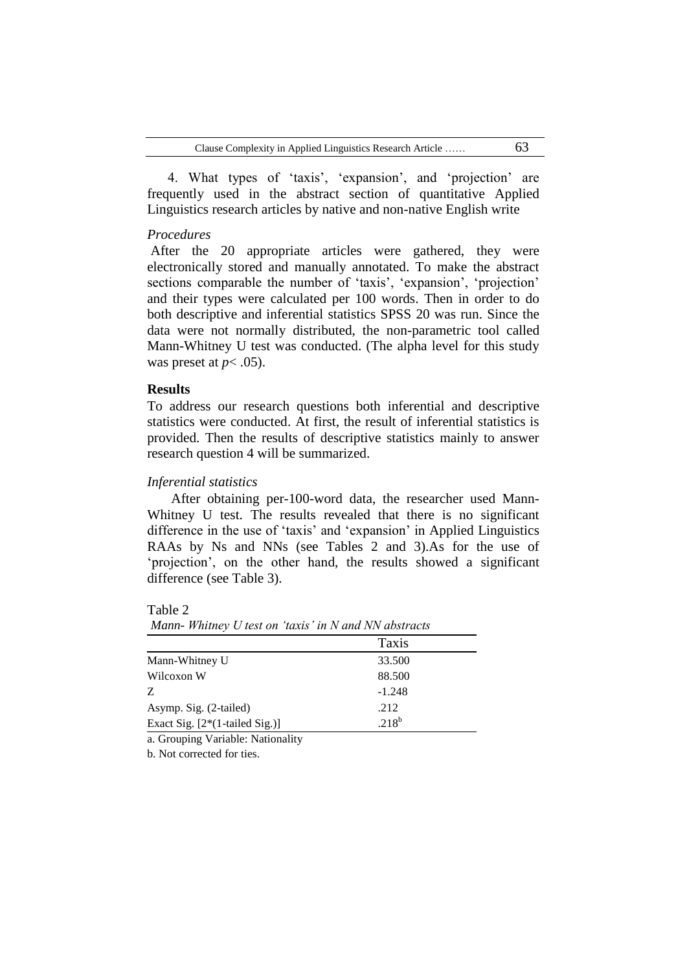4. What types of 'taxis', 'expansion', and 'projection' are frequently used in the abstract section of quantitative Applied Linguistics research articles by native and non-native English write

### *Procedures*

After the 20 appropriate articles were gathered, they were electronically stored and manually annotated. To make the abstract sections comparable the number of 'taxis', 'expansion', 'projection' and their types were calculated per 100 words. Then in order to do both descriptive and inferential statistics SPSS 20 was run. Since the data were not normally distributed, the non-parametric tool called Mann-Whitney U test was conducted. (The alpha level for this study was preset at  $p < .05$ ).

## **Results**

To address our research questions both inferential and descriptive statistics were conducted. At first, the result of inferential statistics is provided. Then the results of descriptive statistics mainly to answer research question 4 will be summarized.

### *Inferential statistics*

After obtaining per-100-word data, the researcher used Mann-Whitney U test. The results revealed that there is no significant difference in the use of "taxis" and "expansion" in Applied Linguistics RAAs by Ns and NNs (see Tables 2 and 3).As for the use of "projection", on the other hand, the results showed a significant difference (see Table 3).

Table 2

*Mann- Whitney U test on 'taxis' in N and NN abstracts*

|                                  | Taxis      |
|----------------------------------|------------|
| Mann-Whitney U                   | 33.500     |
| Wilcoxon W                       | 88.500     |
| Z                                | $-1.248$   |
| Asymp. Sig. (2-tailed)           | .212       |
| Exact Sig. $[2*(1-tailed Sig.)]$ | $.218^{b}$ |

a. Grouping Variable: Nationality

b. Not corrected for ties.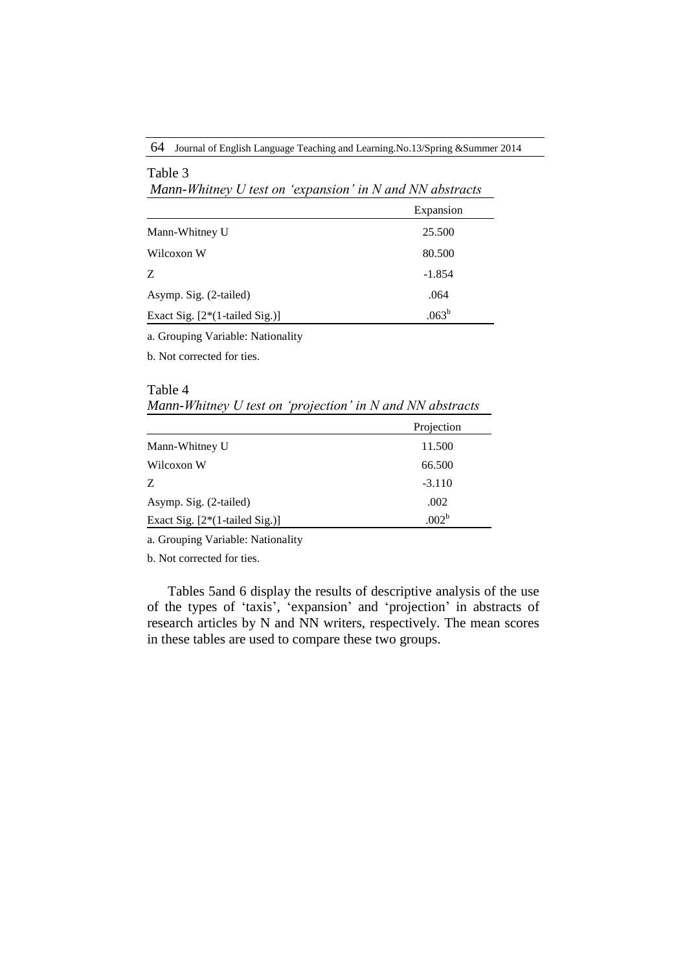64 Journal of English Language Teaching and Learning.No.13/Spring &Summer 2014

| Mann-Whitney $U$ test on 'expansion' in $N$ and $NN$ abstracts |                |  |  |  |
|----------------------------------------------------------------|----------------|--|--|--|
|                                                                | Expansion      |  |  |  |
| Mann-Whitney U                                                 | 25.500         |  |  |  |
| Wilcoxon W                                                     | 80.500         |  |  |  |
| Z                                                              | $-1.854$       |  |  |  |
| Asymp. Sig. (2-tailed)                                         | .064           |  |  |  |
| Exact Sig. $[2*(1-tailed Sig.)]$                               | $.063^{\rm b}$ |  |  |  |

a. Grouping Variable: Nationality

b. Not corrected for ties.

Table 3

Table 4 *Mann-Whitney U test on 'projection' in N and NN abstracts*

|                                  | Projection        |
|----------------------------------|-------------------|
| Mann-Whitney U                   | 11.500            |
| Wilcoxon W                       | 66.500            |
| Z                                | $-3.110$          |
| Asymp. Sig. (2-tailed)           | .002              |
| Exact Sig. $[2*(1-tailed Sig.)]$ | .002 <sup>b</sup> |

a. Grouping Variable: Nationality

b. Not corrected for ties.

Tables 5and 6 display the results of descriptive analysis of the use of the types of "taxis", "expansion" and "projection" in abstracts of research articles by N and NN writers, respectively. The mean scores in these tables are used to compare these two groups.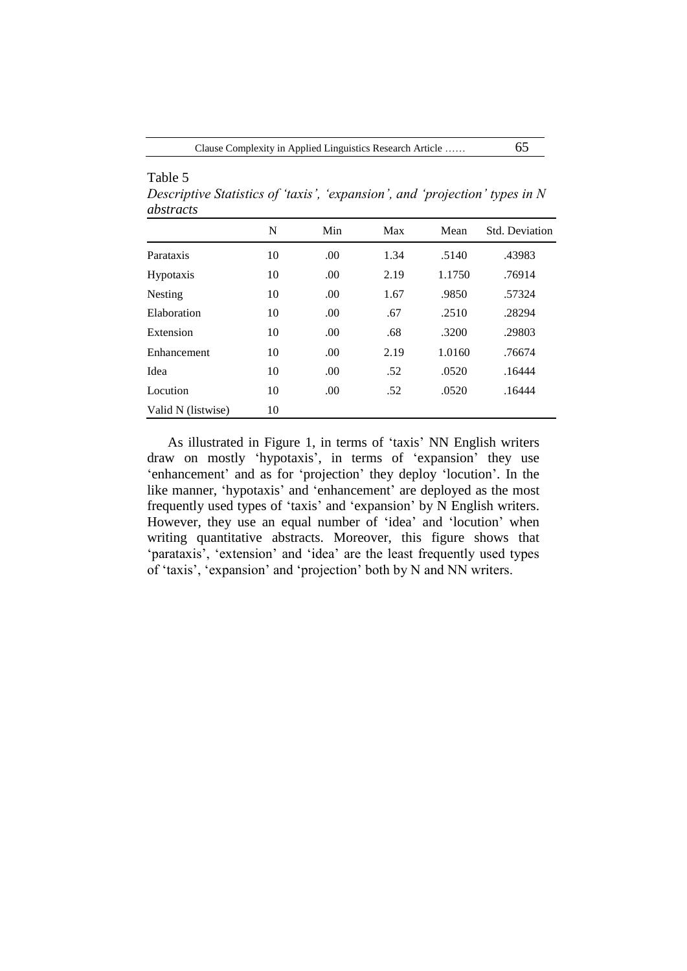Table 5 *Descriptive Statistics of 'taxis', 'expansion', and 'projection' types in N abstracts*

|                    | N  | Min | Max  | Mean   | Std. Deviation |
|--------------------|----|-----|------|--------|----------------|
| Parataxis          | 10 | .00 | 1.34 | .5140  | .43983         |
| <b>Hypotaxis</b>   | 10 | .00 | 2.19 | 1.1750 | .76914         |
| Nesting            | 10 | .00 | 1.67 | .9850  | .57324         |
| Elaboration        | 10 | .00 | .67  | .2510  | .28294         |
| Extension          | 10 | .00 | .68  | .3200  | .29803         |
| Enhancement        | 10 | .00 | 2.19 | 1.0160 | .76674         |
| Idea               | 10 | .00 | .52  | .0520  | .16444         |
| Locution           | 10 | .00 | .52  | .0520  | .16444         |
| Valid N (listwise) | 10 |     |      |        |                |

As illustrated in Figure 1, in terms of "taxis" NN English writers draw on mostly 'hypotaxis', in terms of 'expansion' they use 'enhancement' and as for 'projection' they deploy 'locution'. In the like manner, 'hypotaxis' and 'enhancement' are deployed as the most frequently used types of "taxis" and "expansion" by N English writers. However, they use an equal number of 'idea' and 'locution' when writing quantitative abstracts. Moreover, this figure shows that 'parataxis', 'extension' and 'idea' are the least frequently used types of "taxis", "expansion" and "projection" both by N and NN writers.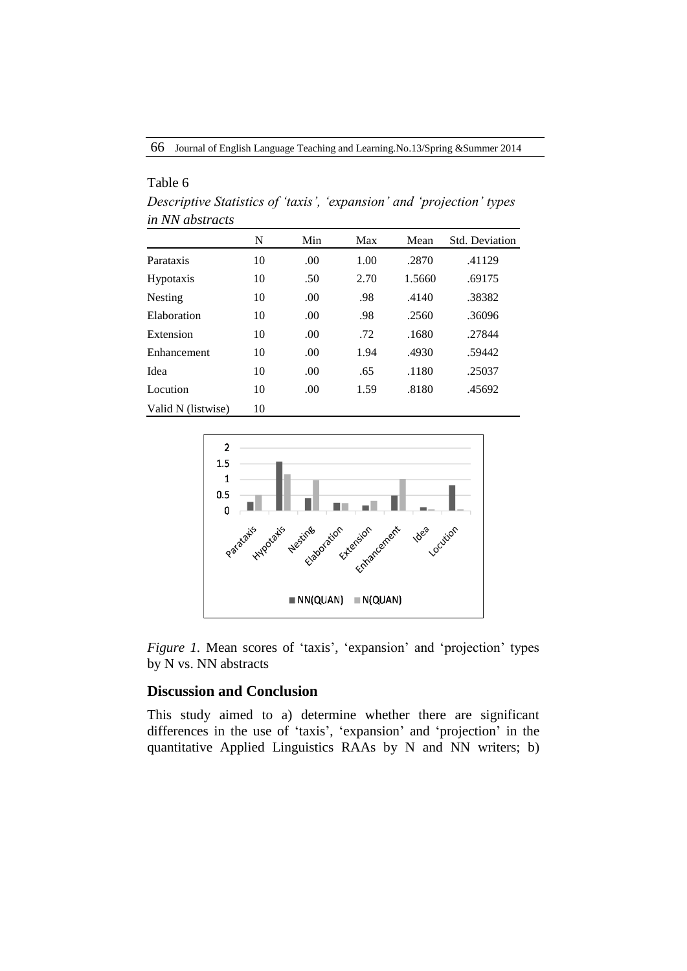| in NN abstracts    |    |      |      |        |                       |
|--------------------|----|------|------|--------|-----------------------|
|                    | N  | Min  | Max  | Mean   | <b>Std. Deviation</b> |
| Parataxis          | 10 | .00. | 1.00 | .2870  | .41129                |
| <b>Hypotaxis</b>   | 10 | .50  | 2.70 | 1.5660 | .69175                |
| Nesting            | 10 | .00  | .98  | .4140  | .38382                |
| Elaboration        | 10 | .00. | .98  | .2560  | .36096                |
| Extension          | 10 | .00. | .72  | .1680  | .27844                |
| Enhancement        | 10 | .00  | 1.94 | .4930  | .59442                |
| Idea               | 10 | .00. | .65  | .1180  | .25037                |
| Locution           | 10 | .00. | 1.59 | .8180  | .45692                |
| Valid N (listwise) | 10 |      |      |        |                       |

Table 6 *Descriptive Statistics of 'taxis', 'expansion' and 'projection' types* 



*Figure 1.* Mean scores of 'taxis', 'expansion' and 'projection' types by N vs. NN abstracts

# **Discussion and Conclusion**

This study aimed to a) determine whether there are significant differences in the use of 'taxis', 'expansion' and 'projection' in the quantitative Applied Linguistics RAAs by N and NN writers; b)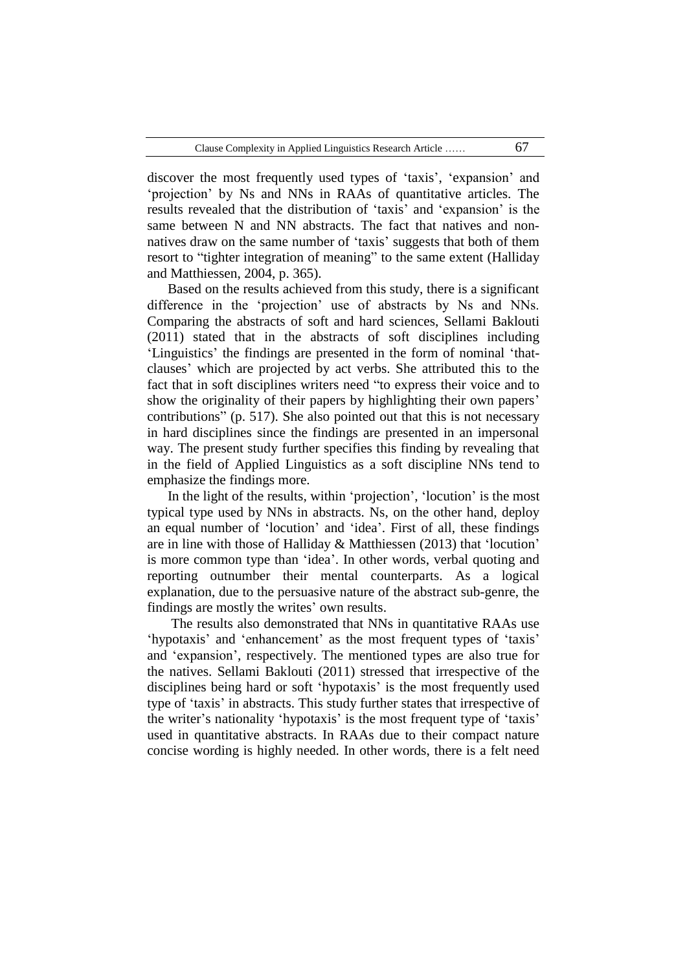discover the most frequently used types of 'taxis', 'expansion' and "projection" by Ns and NNs in RAAs of quantitative articles. The results revealed that the distribution of 'taxis' and 'expansion' is the same between N and NN abstracts. The fact that natives and nonnatives draw on the same number of 'taxis' suggests that both of them resort to "tighter integration of meaning" to the same extent (Halliday and Matthiessen, 2004, p. 365).

Based on the results achieved from this study, there is a significant difference in the "projection" use of abstracts by Ns and NNs. Comparing the abstracts of soft and hard sciences, Sellami Baklouti (2011) stated that in the abstracts of soft disciplines including "Linguistics" the findings are presented in the form of nominal "thatclauses" which are projected by act verbs. She attributed this to the fact that in soft disciplines writers need "to express their voice and to show the originality of their papers by highlighting their own papers' contributions" (p. 517). She also pointed out that this is not necessary in hard disciplines since the findings are presented in an impersonal way. The present study further specifies this finding by revealing that in the field of Applied Linguistics as a soft discipline NNs tend to emphasize the findings more.

In the light of the results, within 'projection', 'locution' is the most typical type used by NNs in abstracts. Ns, on the other hand, deploy an equal number of "locution" and "idea". First of all, these findings are in line with those of Halliday & Matthiessen (2013) that "locution" is more common type than "idea". In other words, verbal quoting and reporting outnumber their mental counterparts. As a logical explanation, due to the persuasive nature of the abstract sub-genre, the findings are mostly the writes' own results.

The results also demonstrated that NNs in quantitative RAAs use 'hypotaxis' and 'enhancement' as the most frequent types of 'taxis' and "expansion", respectively. The mentioned types are also true for the natives. Sellami Baklouti (2011) stressed that irrespective of the disciplines being hard or soft 'hypotaxis' is the most frequently used type of "taxis" in abstracts. This study further states that irrespective of the writer's nationality 'hypotaxis' is the most frequent type of 'taxis' used in quantitative abstracts. In RAAs due to their compact nature concise wording is highly needed. In other words, there is a felt need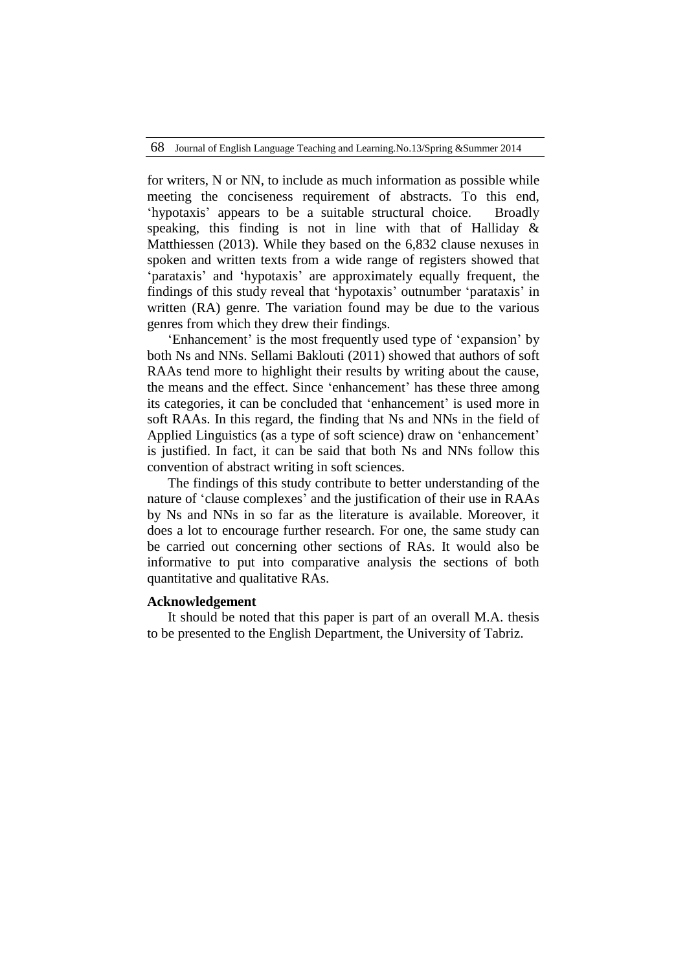for writers, N or NN, to include as much information as possible while meeting the conciseness requirement of abstracts. To this end, "hypotaxis" appears to be a suitable structural choice. Broadly speaking, this finding is not in line with that of Halliday & Matthiessen (2013). While they based on the 6,832 clause nexuses in spoken and written texts from a wide range of registers showed that "parataxis" and "hypotaxis" are approximately equally frequent, the findings of this study reveal that "hypotaxis" outnumber "parataxis" in written (RA) genre. The variation found may be due to the various genres from which they drew their findings.

'Enhancement' is the most frequently used type of 'expansion' by both Ns and NNs. Sellami Baklouti (2011) showed that authors of soft RAAs tend more to highlight their results by writing about the cause, the means and the effect. Since "enhancement" has these three among its categories, it can be concluded that 'enhancement' is used more in soft RAAs. In this regard, the finding that Ns and NNs in the field of Applied Linguistics (as a type of soft science) draw on "enhancement" is justified. In fact, it can be said that both Ns and NNs follow this convention of abstract writing in soft sciences.

The findings of this study contribute to better understanding of the nature of "clause complexes" and the justification of their use in RAAs by Ns and NNs in so far as the literature is available. Moreover, it does a lot to encourage further research. For one, the same study can be carried out concerning other sections of RAs. It would also be informative to put into comparative analysis the sections of both quantitative and qualitative RAs.

## **Acknowledgement**

It should be noted that this paper is part of an overall M.A. thesis to be presented to the English Department, the University of Tabriz.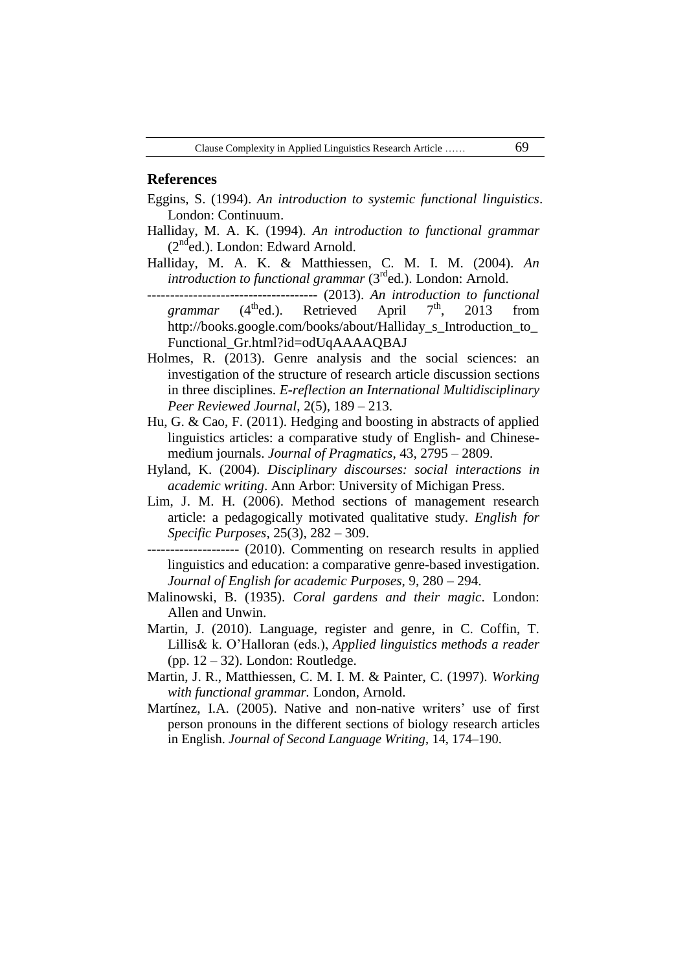### **References**

- Eggins, S. (1994). *An introduction to systemic functional linguistics*. London: Continuum.
- Halliday, M. A. K. (1994). *An introduction to functional grammar*   $(2<sup>nd</sup>ed.)$ . London: Edward Arnold.
- Halliday, M. A. K. & Matthiessen, C. M. I. M. (2004). *An introduction to functional grammar* (3<sup>rd</sup>ed.). London: Arnold.
	- ------------------------------------- (2013). *An introduction to functional grammar* (4<sup>th</sup>ed.). Retrieved April 7<sup>th</sup>, 2013 from http://books.google.com/books/about/Halliday\_s\_Introduction\_to\_ Functional\_Gr.html?id=odUqAAAAQBAJ
- Holmes, R. (2013). Genre analysis and the social sciences: an investigation of the structure of research article discussion sections in three disciplines. *E-reflection an International Multidisciplinary Peer Reviewed Journal*, 2(5), 189 – 213.
- Hu, G. & Cao, F. (2011). Hedging and boosting in abstracts of applied linguistics articles: a comparative study of English- and Chinesemedium journals. *Journal of Pragmatics*, 43, 2795 – 2809.
- Hyland, K. (2004). *Disciplinary discourses: social interactions in academic writing*. Ann Arbor: University of Michigan Press.
- Lim, J. M. H. (2006). Method sections of management research article: a pedagogically motivated qualitative study. *English for Specific Purposes*, 25(3), 282 – 309.
- -------------------- (2010). Commenting on research results in applied linguistics and education: a comparative genre-based investigation. *Journal of English for academic Purposes*, 9, 280 – 294.
- Malinowski, B. (1935). *Coral gardens and their magic*. London: Allen and Unwin.
- Martin, J. (2010). Language, register and genre, in C. Coffin, T. Lillis& k. O"Halloran (eds.), *Applied linguistics methods a reader* (pp.  $12 - 32$ ). London: Routledge.
- Martin, J. R., Matthiessen, C. M. I. M. & Painter, C. (1997). *Working with functional grammar.* London, Arnold.
- Martínez, I.A. (2005). Native and non-native writers' use of first person pronouns in the different sections of biology research articles in English. *Journal of Second Language Writing*, 14, 174–190.